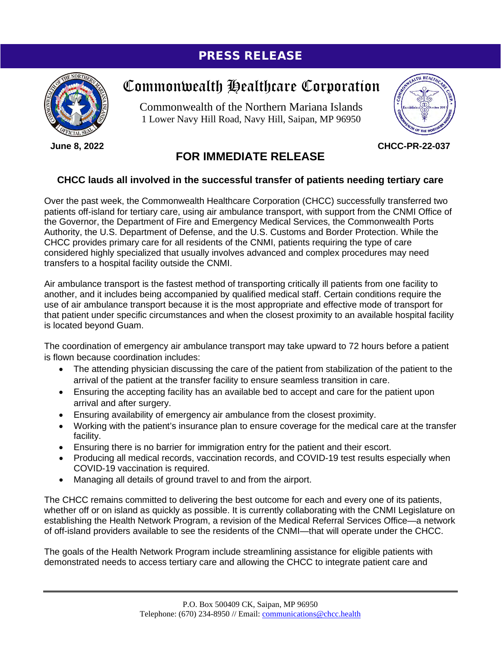## PRESS RELEASE



**June 8, 2022**

## Commonwealth Healthcare Corporation

Commonwealth of the Northern Mariana Islands 1 Lower Navy Hill Road, Navy Hill, Saipan, MP 96950



**CHCC-PR-22-037**

## **FOR IMMEDIATE RELEASE**

## **CHCC lauds all involved in the successful transfer of patients needing tertiary care**

Over the past week, the Commonwealth Healthcare Corporation (CHCC) successfully transferred two patients off-island for tertiary care, using air ambulance transport, with support from the CNMI Office of the Governor, the Department of Fire and Emergency Medical Services, the Commonwealth Ports Authority, the U.S. Department of Defense, and the U.S. Customs and Border Protection. While the CHCC provides primary care for all residents of the CNMI, patients requiring the type of care considered highly specialized that usually involves advanced and complex procedures may need transfers to a hospital facility outside the CNMI.

Air ambulance transport is the fastest method of transporting critically ill patients from one facility to another, and it includes being accompanied by qualified medical staff. Certain conditions require the use of air ambulance transport because it is the most appropriate and effective mode of transport for that patient under specific circumstances and when the closest proximity to an available hospital facility is located beyond Guam.

The coordination of emergency air ambulance transport may take upward to 72 hours before a patient is flown because coordination includes:

- The attending physician discussing the care of the patient from stabilization of the patient to the arrival of the patient at the transfer facility to ensure seamless transition in care.
- Ensuring the accepting facility has an available bed to accept and care for the patient upon arrival and after surgery.
- Ensuring availability of emergency air ambulance from the closest proximity.
- Working with the patient's insurance plan to ensure coverage for the medical care at the transfer facility.
- Ensuring there is no barrier for immigration entry for the patient and their escort.
- Producing all medical records, vaccination records, and COVID-19 test results especially when COVID-19 vaccination is required.
- Managing all details of ground travel to and from the airport.

The CHCC remains committed to delivering the best outcome for each and every one of its patients, whether off or on island as quickly as possible. It is currently collaborating with the CNMI Legislature on establishing the Health Network Program, a revision of the Medical Referral Services Office—a network of off-island providers available to see the residents of the CNMI—that will operate under the CHCC.

The goals of the Health Network Program include streamlining assistance for eligible patients with demonstrated needs to access tertiary care and allowing the CHCC to integrate patient care and